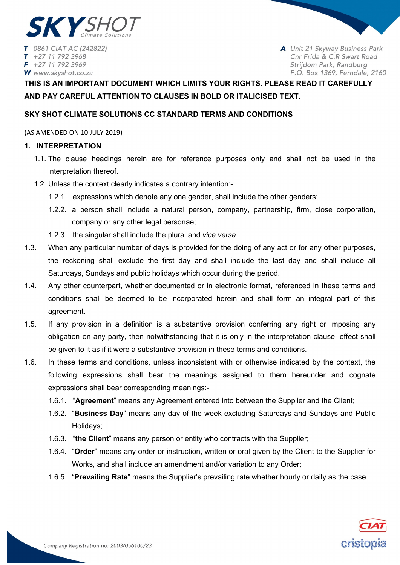

T 0861 CIAT AC (242822) +27 11 792 3968  $\tau$  $F + 27 11 792 3969$ W www.skyshot.co.za

A Unit 21 Skyway Business Park Cnr Frida & C.R Swart Road Strijdom Park, Randburg P.O. Box 1369, Ferndale, 2160

# **THIS IS AN IMPORTANT DOCUMENT WHICH LIMITS YOUR RIGHTS. PLEASE READ IT CAREFULLY AND PAY CAREFUL ATTENTION TO CLAUSES IN BOLD OR ITALICISED TEXT.**

# **SKY SHOT CLIMATE SOLUTIONS CC STANDARD TERMS AND CONDITIONS**

(AS AMENDED ON 10 JULY 2019)

# **1. INTERPRETATION**

- 1.1. The clause headings herein are for reference purposes only and shall not be used in the interpretation thereof.
- 1.2. Unless the context clearly indicates a contrary intention:-
	- 1.2.1. expressions which denote any one gender, shall include the other genders;
	- 1.2.2. a person shall include a natural person, company, partnership, firm, close corporation, company or any other legal personae;
	- 1.2.3. the singular shall include the plural and *vice versa*.
- 1.3. When any particular number of days is provided for the doing of any act or for any other purposes, the reckoning shall exclude the first day and shall include the last day and shall include all Saturdays, Sundays and public holidays which occur during the period.
- 1.4. Any other counterpart, whether documented or in electronic format, referenced in these terms and conditions shall be deemed to be incorporated herein and shall form an integral part of this agreement.
- 1.5. If any provision in a definition is a substantive provision conferring any right or imposing any obligation on any party, then notwithstanding that it is only in the interpretation clause, effect shall be given to it as if it were a substantive provision in these terms and conditions.
- 1.6. In these terms and conditions, unless inconsistent with or otherwise indicated by the context, the following expressions shall bear the meanings assigned to them hereunder and cognate expressions shall bear corresponding meanings:-
	- 1.6.1. "**Agreement**" means any Agreement entered into between the Supplier and the Client;
	- 1.6.2. "**Business Day**" means any day of the week excluding Saturdays and Sundays and Public Holidays;
	- 1.6.3. "**the Client**" means any person or entity who contracts with the Supplier;
	- 1.6.4. "**Order**" means any order or instruction, written or oral given by the Client to the Supplier for Works, and shall include an amendment and/or variation to any Order;
	- 1.6.5. "**Prevailing Rate**" means the Supplier's prevailing rate whether hourly or daily as the case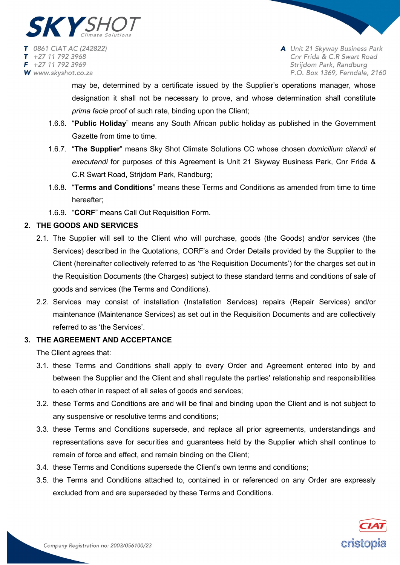

may be, determined by a certificate issued by the Supplier's operations manager, whose designation it shall not be necessary to prove, and whose determination shall constitute *prima facie* proof of such rate, binding upon the Client;

- 1.6.6. "**Public Holiday**" means any South African public holiday as published in the Government Gazette from time to time.
- 1.6.7. "**The Supplier**" means Sky Shot Climate Solutions CC whose chosen *domicilium citandi et executandi* for purposes of this Agreement is Unit 21 Skyway Business Park, Cnr Frida & C.R Swart Road, Strijdom Park, Randburg;
- 1.6.8. "**Terms and Conditions**" means these Terms and Conditions as amended from time to time hereafter;
- 1.6.9. "**CORF**" means Call Out Requisition Form.

# **2. THE GOODS AND SERVICES**

- 2.1. The Supplier will sell to the Client who will purchase, goods (the Goods) and/or services (the Services) described in the Quotations, CORF's and Order Details provided by the Supplier to the Client (hereinafter collectively referred to as 'the Requisition Documents') for the charges set out in the Requisition Documents (the Charges) subject to these standard terms and conditions of sale of goods and services (the Terms and Conditions).
- 2.2. Services may consist of installation (Installation Services) repairs (Repair Services) and/or maintenance (Maintenance Services) as set out in the Requisition Documents and are collectively referred to as 'the Services'.

# **3. THE AGREEMENT AND ACCEPTANCE**

The Client agrees that:

- 3.1. these Terms and Conditions shall apply to every Order and Agreement entered into by and between the Supplier and the Client and shall regulate the parties' relationship and responsibilities to each other in respect of all sales of goods and services;
- 3.2. these Terms and Conditions are and will be final and binding upon the Client and is not subject to any suspensive or resolutive terms and conditions;
- 3.3. these Terms and Conditions supersede, and replace all prior agreements, understandings and representations save for securities and guarantees held by the Supplier which shall continue to remain of force and effect, and remain binding on the Client;
- 3.4. these Terms and Conditions supersede the Client's own terms and conditions;
- 3.5. the Terms and Conditions attached to, contained in or referenced on any Order are expressly excluded from and are superseded by these Terms and Conditions.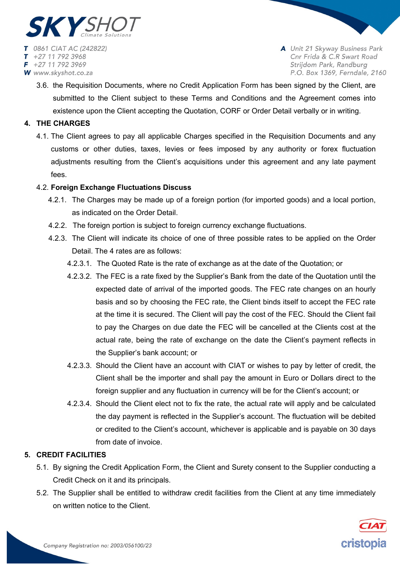

3.6. the Requisition Documents, where no Credit Application Form has been signed by the Client, are submitted to the Client subject to these Terms and Conditions and the Agreement comes into existence upon the Client accepting the Quotation, CORF or Order Detail verbally or in writing.

# **4. THE CHARGES**

4.1. The Client agrees to pay all applicable Charges specified in the Requisition Documents and any customs or other duties, taxes, levies or fees imposed by any authority or forex fluctuation adjustments resulting from the Client's acquisitions under this agreement and any late payment fees.

# 4.2. **Foreign Exchange Fluctuations Discuss**

- 4.2.1. The Charges may be made up of a foreign portion (for imported goods) and a local portion, as indicated on the Order Detail.
- 4.2.2. The foreign portion is subject to foreign currency exchange fluctuations.
- 4.2.3. The Client will indicate its choice of one of three possible rates to be applied on the Order Detail. The 4 rates are as follows:
	- 4.2.3.1. The Quoted Rate is the rate of exchange as at the date of the Quotation; or
	- 4.2.3.2. The FEC is a rate fixed by the Supplier's Bank from the date of the Quotation until the expected date of arrival of the imported goods. The FEC rate changes on an hourly basis and so by choosing the FEC rate, the Client binds itself to accept the FEC rate at the time it is secured. The Client will pay the cost of the FEC. Should the Client fail to pay the Charges on due date the FEC will be cancelled at the Clients cost at the actual rate, being the rate of exchange on the date the Client's payment reflects in the Supplier's bank account; or
	- 4.2.3.3. Should the Client have an account with CIAT or wishes to pay by letter of credit, the Client shall be the importer and shall pay the amount in Euro or Dollars direct to the foreign supplier and any fluctuation in currency will be for the Client's account; or
	- 4.2.3.4. Should the Client elect not to fix the rate, the actual rate will apply and be calculated the day payment is reflected in the Supplier's account. The fluctuation will be debited or credited to the Client's account, whichever is applicable and is payable on 30 days from date of invoice.

# **5. CREDIT FACILITIES**

- 5.1. By signing the Credit Application Form, the Client and Surety consent to the Supplier conducting a Credit Check on it and its principals.
- 5.2. The Supplier shall be entitled to withdraw credit facilities from the Client at any time immediately on written notice to the Client.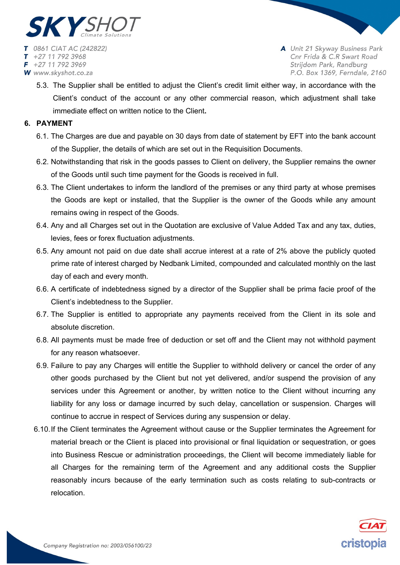

5.3. The Supplier shall be entitled to adjust the Client's credit limit either way, in accordance with the Client's conduct of the account or any other commercial reason, which adjustment shall take immediate effect on written notice to the Client**.** 

# **6. PAYMENT**

- 6.1. The Charges are due and payable on 30 days from date of statement by EFT into the bank account of the Supplier, the details of which are set out in the Requisition Documents.
- 6.2. Notwithstanding that risk in the goods passes to Client on delivery, the Supplier remains the owner of the Goods until such time payment for the Goods is received in full.
- 6.3. The Client undertakes to inform the landlord of the premises or any third party at whose premises the Goods are kept or installed, that the Supplier is the owner of the Goods while any amount remains owing in respect of the Goods.
- 6.4. Any and all Charges set out in the Quotation are exclusive of Value Added Tax and any tax, duties, levies, fees or forex fluctuation adjustments.
- 6.5. Any amount not paid on due date shall accrue interest at a rate of 2% above the publicly quoted prime rate of interest charged by Nedbank Limited, compounded and calculated monthly on the last day of each and every month.
- 6.6. A certificate of indebtedness signed by a director of the Supplier shall be prima facie proof of the Client's indebtedness to the Supplier.
- 6.7. The Supplier is entitled to appropriate any payments received from the Client in its sole and absolute discretion.
- 6.8. All payments must be made free of deduction or set off and the Client may not withhold payment for any reason whatsoever.
- 6.9. Failure to pay any Charges will entitle the Supplier to withhold delivery or cancel the order of any other goods purchased by the Client but not yet delivered, and/or suspend the provision of any services under this Agreement or another, by written notice to the Client without incurring any liability for any loss or damage incurred by such delay, cancellation or suspension. Charges will continue to accrue in respect of Services during any suspension or delay.
- 6.10.If the Client terminates the Agreement without cause or the Supplier terminates the Agreement for material breach or the Client is placed into provisional or final liquidation or sequestration, or goes into Business Rescue or administration proceedings, the Client will become immediately liable for all Charges for the remaining term of the Agreement and any additional costs the Supplier reasonably incurs because of the early termination such as costs relating to sub-contracts or relocation.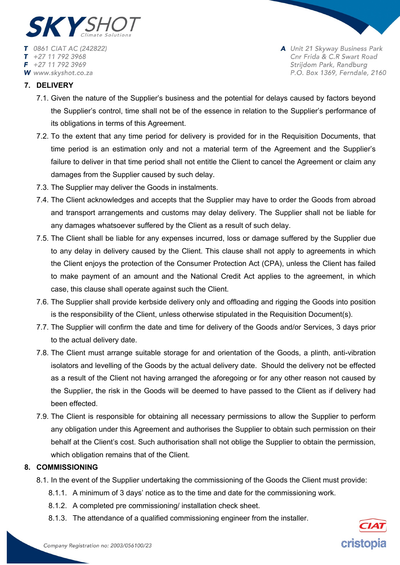

# **7. DELIVERY**

- 7.1. Given the nature of the Supplier's business and the potential for delays caused by factors beyond the Supplier's control, time shall not be of the essence in relation to the Supplier's performance of its obligations in terms of this Agreement.
- 7.2. To the extent that any time period for delivery is provided for in the Requisition Documents, that time period is an estimation only and not a material term of the Agreement and the Supplier's failure to deliver in that time period shall not entitle the Client to cancel the Agreement or claim any damages from the Supplier caused by such delay.
- 7.3. The Supplier may deliver the Goods in instalments.
- 7.4. The Client acknowledges and accepts that the Supplier may have to order the Goods from abroad and transport arrangements and customs may delay delivery. The Supplier shall not be liable for any damages whatsoever suffered by the Client as a result of such delay.
- 7.5. The Client shall be liable for any expenses incurred, loss or damage suffered by the Supplier due to any delay in delivery caused by the Client. This clause shall not apply to agreements in which the Client enjoys the protection of the Consumer Protection Act (CPA), unless the Client has failed to make payment of an amount and the National Credit Act applies to the agreement, in which case, this clause shall operate against such the Client.
- 7.6. The Supplier shall provide kerbside delivery only and offloading and rigging the Goods into position is the responsibility of the Client, unless otherwise stipulated in the Requisition Document(s).
- 7.7. The Supplier will confirm the date and time for delivery of the Goods and/or Services, 3 days prior to the actual delivery date.
- 7.8. The Client must arrange suitable storage for and orientation of the Goods, a plinth, anti-vibration isolators and levelling of the Goods by the actual delivery date. Should the delivery not be effected as a result of the Client not having arranged the aforegoing or for any other reason not caused by the Supplier, the risk in the Goods will be deemed to have passed to the Client as if delivery had been effected.
- 7.9. The Client is responsible for obtaining all necessary permissions to allow the Supplier to perform any obligation under this Agreement and authorises the Supplier to obtain such permission on their behalf at the Client's cost. Such authorisation shall not oblige the Supplier to obtain the permission, which obligation remains that of the Client.

# **8. COMMISSIONING**

- 8.1. In the event of the Supplier undertaking the commissioning of the Goods the Client must provide:
	- 8.1.1. A minimum of 3 days' notice as to the time and date for the commissioning work.
	- 8.1.2. A completed pre commissioning/ installation check sheet.
	- 8.1.3. The attendance of a qualified commissioning engineer from the installer.

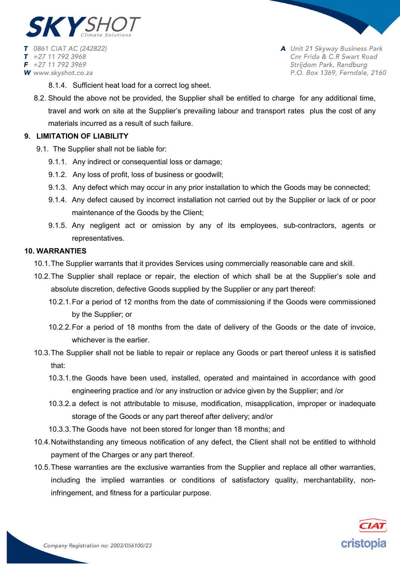

- 8.1.4. Sufficient heat load for a correct log sheet.
- 8.2. Should the above not be provided, the Supplier shall be entitled to charge for any additional time, travel and work on site at the Supplier's prevailing labour and transport rates plus the cost of any materials incurred as a result of such failure.

# **9. LIMITATION OF LIABILITY**

- 9.1. The Supplier shall not be liable for:
	- 9.1.1. Any indirect or consequential loss or damage;
	- 9.1.2. Any loss of profit, loss of business or goodwill;
	- 9.1.3. Any defect which may occur in any prior installation to which the Goods may be connected;
	- 9.1.4. Any defect caused by incorrect installation not carried out by the Supplier or lack of or poor maintenance of the Goods by the Client;
	- 9.1.5. Any negligent act or omission by any of its employees, sub-contractors, agents or representatives.

# **10. WARRANTIES**

- 10.1.The Supplier warrants that it provides Services using commercially reasonable care and skill.
- 10.2.The Supplier shall replace or repair, the election of which shall be at the Supplier's sole and absolute discretion, defective Goods supplied by the Supplier or any part thereof:
	- 10.2.1.For a period of 12 months from the date of commissioning if the Goods were commissioned by the Supplier; or
	- 10.2.2.For a period of 18 months from the date of delivery of the Goods or the date of invoice, whichever is the earlier.
- 10.3.The Supplier shall not be liable to repair or replace any Goods or part thereof unless it is satisfied that:
	- 10.3.1.the Goods have been used, installed, operated and maintained in accordance with good engineering practice and /or any instruction or advice given by the Supplier; and /or
	- 10.3.2.a defect is not attributable to misuse, modification, misapplication, improper or inadequate storage of the Goods or any part thereof after delivery; and/or
	- 10.3.3.The Goods have not been stored for longer than 18 months; and
- 10.4.Notwithstanding any timeous notification of any defect, the Client shall not be entitled to withhold payment of the Charges or any part thereof.
- 10.5.These warranties are the exclusive warranties from the Supplier and replace all other warranties, including the implied warranties or conditions of satisfactory quality, merchantability, noninfringement, and fitness for a particular purpose.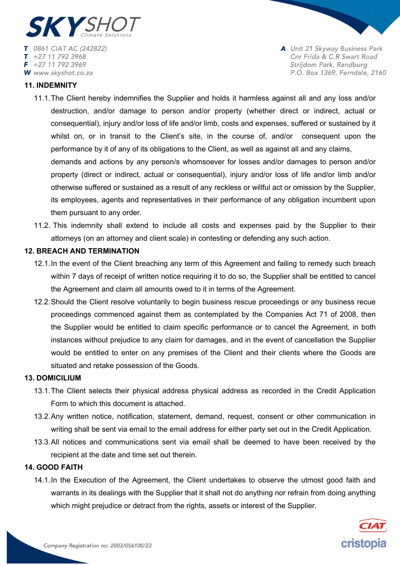

### **11. INDEMNITY**

- 11.1.The Client hereby indemnifies the Supplier and holds it harmless against all and any loss and/or destruction, and/or damage to person and/or property (whether direct or indirect, actual or consequential), injury and/or loss of life and/or limb, costs and expenses, suffered or sustained by it whilst on, or in transit to the Client's site, in the course of, and/or consequent upon the performance by it of any of its obligations to the Client, as well as against all and any claims, demands and actions by any person/s whomsoever for losses and/or damages to person and/or property (direct or indirect, actual or consequential), injury and/or loss of life and/or limb and/or otherwise suffered or sustained as a result of any reckless or willful act or omission by the Supplier, its employees, agents and representatives in their performance of any obligation incumbent upon them pursuant to any order.
- 11.2. This indemnity shall extend to include all costs and expenses paid by the Supplier to their attorneys (on an attorney and client scale) in contesting or defending any such action.

# **12. BREACH AND TERMINATION**

- 12.1.In the event of the Client breaching any term of this Agreement and failing to remedy such breach within 7 days of receipt of written notice requiring it to do so, the Supplier shall be entitled to cancel the Agreement and claim all amounts owed to it in terms of the Agreement.
- 12.2.Should the Client resolve voluntarily to begin business rescue proceedings or any business recue proceedings commenced against them as contemplated by the Companies Act 71 of 2008, then the Supplier would be entitled to claim specific performance or to cancel the Agreement, in both instances without prejudice to any claim for damages, and in the event of cancellation the Supplier would be entitled to enter on any premises of the Client and their clients where the Goods are situated and retake possession of the Goods.

### **13. DOMICILIUM**

- 13.1.The Client selects their physical address physical address as recorded in the Credit Application Form to which this document is attached.
- 13.2.Any written notice, notification, statement, demand, request, consent or other communication in writing shall be sent via email to the email address for either party set out in the Credit Application.
- 13.3.All notices and communications sent via email shall be deemed to have been received by the recipient at the date and time set out therein.

#### **14. GOOD FAITH**

14.1.In the Execution of the Agreement, the Client undertakes to observe the utmost good faith and warrants in its dealings with the Supplier that it shall not do anything nor refrain from doing anything which might prejudice or detract from the rights, assets or interest of the Supplier.

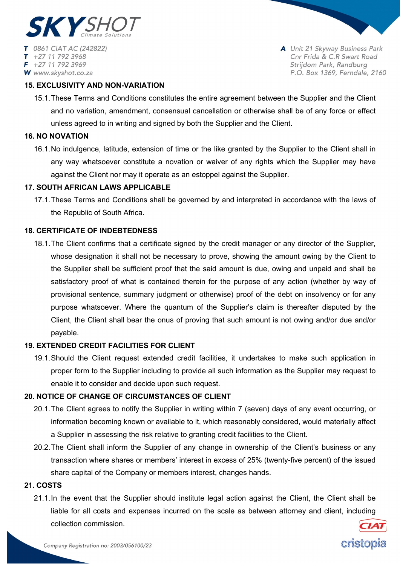

+27 11 792 3968  $F$  +27 11 792 3969 W www.skyshot.co.za A Unit 21 Skyway Business Park Cnr Frida & C.R Swart Road Strijdom Park, Randburg P.O. Box 1369, Ferndale, 2160

cristopia

# **15. EXCLUSIVITY AND NON-VARIATION**

15.1.These Terms and Conditions constitutes the entire agreement between the Supplier and the Client and no variation, amendment, consensual cancellation or otherwise shall be of any force or effect unless agreed to in writing and signed by both the Supplier and the Client.

### **16. NO NOVATION**

16.1.No indulgence, latitude, extension of time or the like granted by the Supplier to the Client shall in any way whatsoever constitute a novation or waiver of any rights which the Supplier may have against the Client nor may it operate as an estoppel against the Supplier.

# **17. SOUTH AFRICAN LAWS APPLICABLE**

17.1.These Terms and Conditions shall be governed by and interpreted in accordance with the laws of the Republic of South Africa.

### **18. CERTIFICATE OF INDEBTEDNESS**

18.1.The Client confirms that a certificate signed by the credit manager or any director of the Supplier, whose designation it shall not be necessary to prove, showing the amount owing by the Client to the Supplier shall be sufficient proof that the said amount is due, owing and unpaid and shall be satisfactory proof of what is contained therein for the purpose of any action (whether by way of provisional sentence, summary judgment or otherwise) proof of the debt on insolvency or for any purpose whatsoever. Where the quantum of the Supplier's claim is thereafter disputed by the Client, the Client shall bear the onus of proving that such amount is not owing and/or due and/or payable.

#### **19. EXTENDED CREDIT FACILITIES FOR CLIENT**

19.1.Should the Client request extended credit facilities, it undertakes to make such application in proper form to the Supplier including to provide all such information as the Supplier may request to enable it to consider and decide upon such request.

#### **20. NOTICE OF CHANGE OF CIRCUMSTANCES OF CLIENT**

- 20.1.The Client agrees to notify the Supplier in writing within 7 (seven) days of any event occurring, or information becoming known or available to it, which reasonably considered, would materially affect a Supplier in assessing the risk relative to granting credit facilities to the Client.
- 20.2.The Client shall inform the Supplier of any change in ownership of the Client's business or any transaction where shares or members' interest in excess of 25% (twenty-five percent) of the issued share capital of the Company or members interest, changes hands.

# **21. COSTS**

21.1.In the event that the Supplier should institute legal action against the Client, the Client shall be liable for all costs and expenses incurred on the scale as between attorney and client, including collection commission.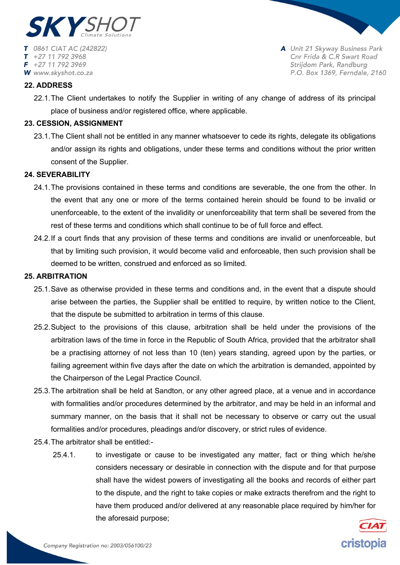

+27 11 792 3968  $F$  +27 11 792 3969 W www.skyshot.co.za A Unit 21 Skyway Business Park Cnr Frida & C.R Swart Road Strijdom Park, Randburg P.O. Box 1369, Ferndale, 2160

### **22. ADDRESS**

22.1.The Client undertakes to notify the Supplier in writing of any change of address of its principal place of business and/or registered office, where applicable.

### **23. CESSION, ASSIGNMENT**

23.1.The Client shall not be entitled in any manner whatsoever to cede its rights, delegate its obligations and/or assign its rights and obligations, under these terms and conditions without the prior written consent of the Supplier.

# **24. SEVERABILITY**

- 24.1.The provisions contained in these terms and conditions are severable, the one from the other. In the event that any one or more of the terms contained herein should be found to be invalid or unenforceable, to the extent of the invalidity or unenforceability that term shall be severed from the rest of these terms and conditions which shall continue to be of full force and effect.
- 24.2.If a court finds that any provision of these terms and conditions are invalid or unenforceable, but that by limiting such provision, it would become valid and enforceable, then such provision shall be deemed to be written, construed and enforced as so limited.

# **25. ARBITRATION**

- 25.1.Save as otherwise provided in these terms and conditions and, in the event that a dispute should arise between the parties, the Supplier shall be entitled to require, by written notice to the Client, that the dispute be submitted to arbitration in terms of this clause.
- 25.2.Subject to the provisions of this clause, arbitration shall be held under the provisions of the arbitration laws of the time in force in the Republic of South Africa, provided that the arbitrator shall be a practising attorney of not less than 10 (ten) years standing, agreed upon by the parties, or failing agreement within five days after the date on which the arbitration is demanded, appointed by the Chairperson of the Legal Practice Council.
- 25.3.The arbitration shall be held at Sandton, or any other agreed place, at a venue and in accordance with formalities and/or procedures determined by the arbitrator, and may be held in an informal and summary manner, on the basis that it shall not be necessary to observe or carry out the usual formalities and/or procedures, pleadings and/or discovery, or strict rules of evidence.
- 25.4.The arbitrator shall be entitled:-
	- 25.4.1. to investigate or cause to be investigated any matter, fact or thing which he/she considers necessary or desirable in connection with the dispute and for that purpose shall have the widest powers of investigating all the books and records of either part to the dispute, and the right to take copies or make extracts therefrom and the right to have them produced and/or delivered at any reasonable place required by him/her for the aforesaid purpose;

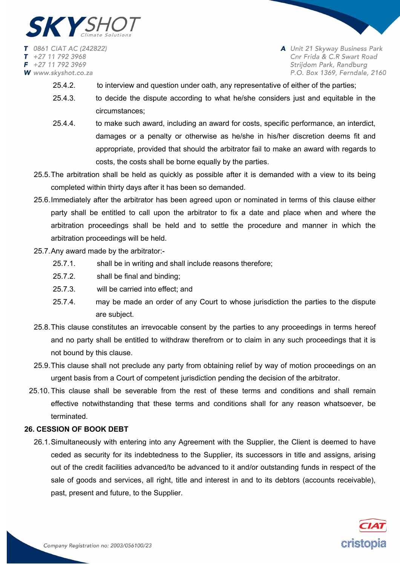

- 25.4.2. to interview and question under oath, any representative of either of the parties;
- 25.4.3. to decide the dispute according to what he/she considers just and equitable in the circumstances;
- 25.4.4. to make such award, including an award for costs, specific performance, an interdict, damages or a penalty or otherwise as he/she in his/her discretion deems fit and appropriate, provided that should the arbitrator fail to make an award with regards to costs, the costs shall be borne equally by the parties.
- 25.5.The arbitration shall be held as quickly as possible after it is demanded with a view to its being completed within thirty days after it has been so demanded.
- 25.6.Immediately after the arbitrator has been agreed upon or nominated in terms of this clause either party shall be entitled to call upon the arbitrator to fix a date and place when and where the arbitration proceedings shall be held and to settle the procedure and manner in which the arbitration proceedings will be held.
- 25.7.Any award made by the arbitrator:-
	- 25.7.1. shall be in writing and shall include reasons therefore;
	- 25.7.2. shall be final and binding;
	- 25.7.3. will be carried into effect; and
	- 25.7.4. may be made an order of any Court to whose jurisdiction the parties to the dispute are subject.
- 25.8.This clause constitutes an irrevocable consent by the parties to any proceedings in terms hereof and no party shall be entitled to withdraw therefrom or to claim in any such proceedings that it is not bound by this clause.
- 25.9.This clause shall not preclude any party from obtaining relief by way of motion proceedings on an urgent basis from a Court of competent jurisdiction pending the decision of the arbitrator.
- 25.10. This clause shall be severable from the rest of these terms and conditions and shall remain effective notwithstanding that these terms and conditions shall for any reason whatsoever, be terminated.

# **26. CESSION OF BOOK DEBT**

26.1.Simultaneously with entering into any Agreement with the Supplier, the Client is deemed to have ceded as security for its indebtedness to the Supplier, its successors in title and assigns, arising out of the credit facilities advanced/to be advanced to it and/or outstanding funds in respect of the sale of goods and services, all right, title and interest in and to its debtors (accounts receivable), past, present and future, to the Supplier.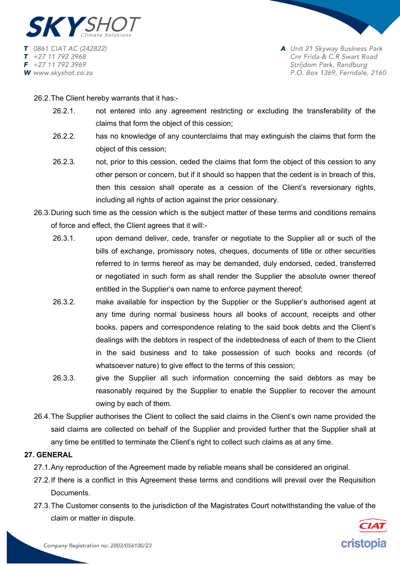

26.2.The Client hereby warrants that it has:-

- 26.2.1. not entered into any agreement restricting or excluding the transferability of the claims that form the object of this cession;
- 26.2.2. has no knowledge of any counterclaims that may extinguish the claims that form the object of this cession;
- 26.2.3. not, prior to this cession, ceded the claims that form the object of this cession to any other person or concern, but if it should so happen that the cedent is in breach of this, then this cession shall operate as a cession of the Client's reversionary rights, including all rights of action against the prior cessionary.
- 26.3.During such time as the cession which is the subject matter of these terms and conditions remains of force and effect, the Client agrees that it will:-
	- 26.3.1. upon demand deliver, cede, transfer or negotiate to the Supplier all or such of the bills of exchange, promissory notes, cheques, documents of title or other securities referred to in terms hereof as may be demanded, duly endorsed, ceded, transferred or negotiated in such form as shall render the Supplier the absolute owner thereof entitled in the Supplier's own name to enforce payment thereof;
	- 26.3.2. make available for inspection by the Supplier or the Supplier's authorised agent at any time during normal business hours all books of account, receipts and other books, papers and correspondence relating to the said book debts and the Client's dealings with the debtors in respect of the indebtedness of each of them to the Client in the said business and to take possession of such books and records (of whatsoever nature) to give effect to the terms of this cession;
	- 26.3.3. give the Supplier all such information concerning the said debtors as may be reasonably required by the Supplier to enable the Supplier to recover the amount owing by each of them.
- 26.4.The Supplier authorises the Client to collect the said claims in the Client's own name provided the said claims are collected on behalf of the Supplier and provided further that the Supplier shall at any time be entitled to terminate the Client's right to collect such claims as at any time.

# **27. GENERAL**

- 27.1.Any reproduction of the Agreement made by reliable means shall be considered an original.
- 27.2.If there is a conflict in this Agreement these terms and conditions will prevail over the Requisition Documents.
- 27.3.The Customer consents to the jurisdiction of the Magistrates Court notwithstanding the value of the claim or matter in dispute.